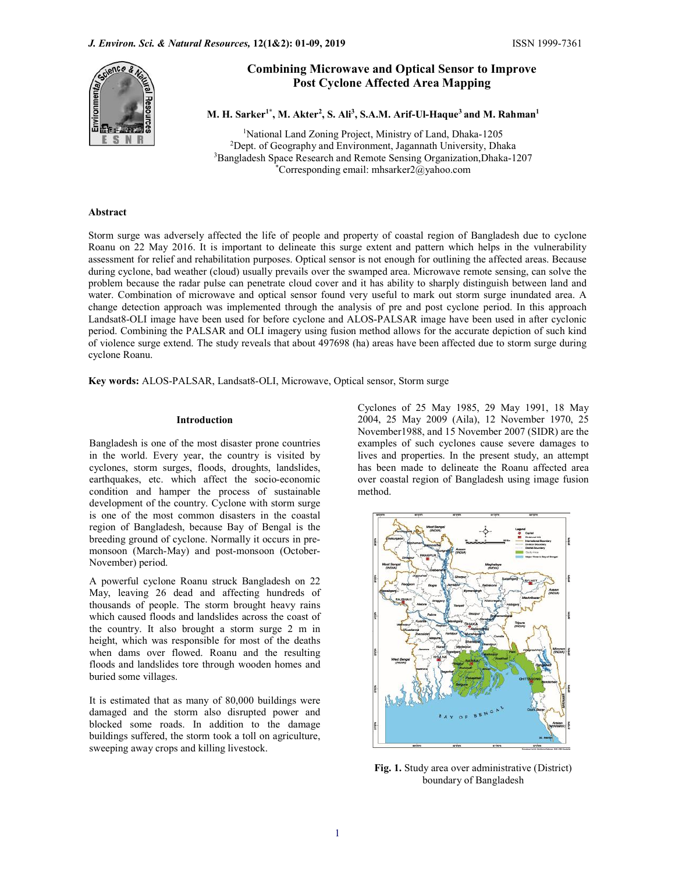

# Combining Microwave and Optical Sensor to Improve Post Cyclone Affected Area Mapping

M. H. Sarker<sup>1\*</sup>, M. Akter<sup>2</sup>, S. Ali<sup>3</sup>, S.A.M. Arif-Ul-Haque<sup>3</sup> and M. Rahman<sup>1</sup>

<sup>1</sup>National Land Zoning Project, Ministry of Land, Dhaka-1205<br><sup>2</sup>Dept. of Geography and Environment, Jagannath University, Dhaka<sup>3</sup>Bangladesh Space Research and Remote Sensing Organization, Dhaka-1207<br><sup>3</sup>Corresponding ema

## Abstract

Storm surge was adversely affected the life of people and property of coastal region of Bangladesh due to cyclone Roanu on 22 May 2016. It is important to delineate this surge extent and pattern which helps in the vulnerability assessment for relief and rehabilitation purposes. Optical sensor is not enough for outlining the affected areas. Because during cyclone, bad weather (cloud) usually prevails over the swamped area. Microwave remote sensing, can solve the problem because the radar pulse can penetrate cloud cover and it has ability to sharply distinguish between land and water. Combination of microwave and optical sensor found very useful to mark out storm surge inundated area. A change detection approach was implemented through the analysis of pre and post cyclone period. In this approach Landsat8-OLI image have been used for before cyclone and ALOS-PALSAR image have been used in after cyclonic period. Combining the PALSAR and OLI imagery using fusion method allows for the accurate depiction of such kind of violence surge extend. The study reveals that about 497698 (ha) areas have been affected due to storm surge during cyclone Roanu.

Key words: ALOS-PALSAR, Landsat8-OLI, Microwave, Optical sensor, Storm surge

## Introduction

Bangladesh is one of the most disaster prone countries in the world. Every year, the country is visited by cyclones, storm surges, floods, droughts, landslides, earthquakes, etc. which affect the socio-economic condition and hamper the process of sustainable development of the country. Cyclone with storm surge is one of the most common disasters in the coastal region of Bangladesh, because Bay of Bengal is the breeding ground of cyclone. Normally it occurs in premonsoon (March-May) and post-monsoon (October-November) period.

A powerful cyclone Roanu struck Bangladesh on 22 May, leaving 26 dead and affecting hundreds of thousands of people. The storm brought heavy rains which caused floods and landslides across the coast of the country. It also brought a storm surge 2 m in height, which was responsible for most of the deaths when dams over flowed. Roanu and the resulting floods and landslides tore through wooden homes and buried some villages.

It is estimated that as many of 80,000 buildings were damaged and the storm also disrupted power and blocked some roads. In addition to the damage buildings suffered, the storm took a toll on agriculture, sweeping away crops and killing livestock.

Cyclones of 25 May 1985, 29 May 1991, 18 May 2004, 25 May 2009 (Aila), 12 November 1970, 25 November1988, and 15 November 2007 (SIDR) are the examples of such cyclones cause severe damages to lives and properties. In the present study, an attempt has been made to delineate the Roanu affected area over coastal region of Bangladesh using image fusion method.



Fig. 1. Study area over administrative (District) boundary of Bangladesh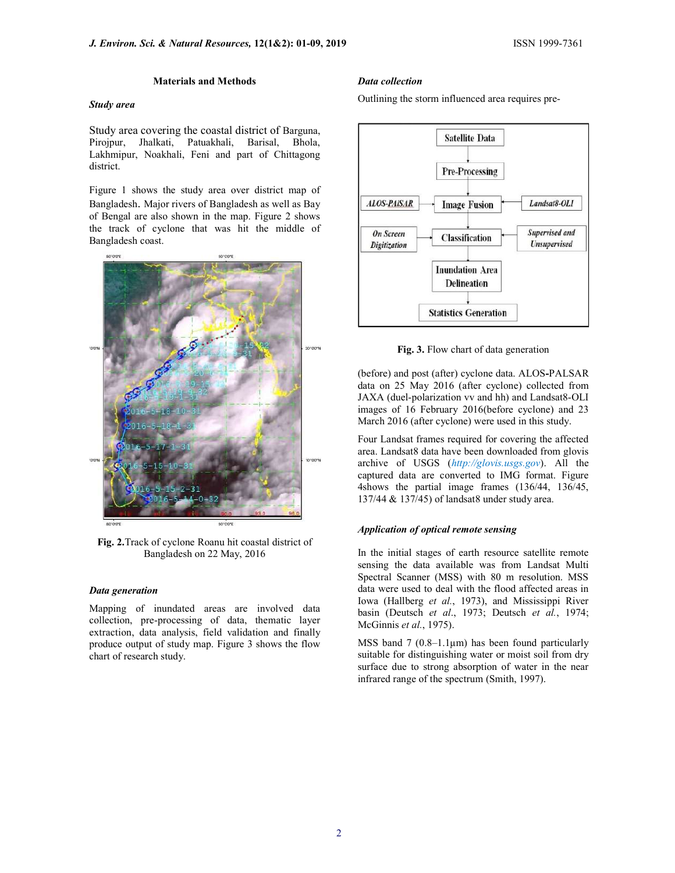#### Materials and Methods

## Study area

Study area covering the coastal district of Barguna, Pirojpur, Jhalkati, Patuakhali, Barisal, Bhola, Lakhmipur, Noakhali, Feni and part of Chittagong district.

Figure 1 shows the study area over district map of Bangladesh. Major rivers of Bangladesh as well as Bay of Bengal are also shown in the map. Figure 2 shows the track of cyclone that was hit the middle of Bangladesh coast.



Fig. 2.Track of cyclone Roanu hit coastal district of Bangladesh on 22 May, 2016

#### Data generation

Mapping of inundated areas are involved data collection, pre-processing of data, thematic layer extraction, data analysis, field validation and finally produce output of study map. Figure 3 shows the flow chart of research study.

## Data collection

Outlining the storm influenced area requires pre-



Fig. 3. Flow chart of data generation

(before) and post (after) cyclone data. ALOS-PALSAR data on 25 May 2016 (after cyclone) collected from JAXA (duel-polarization vv and hh) and Landsat8-OLI images of 16 February 2016(before cyclone) and 23 March 2016 (after cyclone) were used in this study.

Four Landsat frames required for covering the affected area. Landsat8 data have been downloaded from glovis archive of USGS (http://glovis.usgs.gov). All the captured data are converted to IMG format. Figure 4shows the partial image frames (136/44, 136/45, 137/44 & 137/45) of landsat8 under study area.

## Application of optical remote sensing

In the initial stages of earth resource satellite remote sensing the data available was from Landsat Multi Spectral Scanner (MSS) with 80 m resolution. MSS data were used to deal with the flood affected areas in Iowa (Hallberg et al., 1973), and Mississippi River basin (Deutsch et al., 1973; Deutsch et al., 1974; McGinnis et al., 1975).

MSS band 7 ( $0.8-1.1\mu$ m) has been found particularly suitable for distinguishing water or moist soil from dry surface due to strong absorption of water in the near infrared range of the spectrum (Smith, 1997).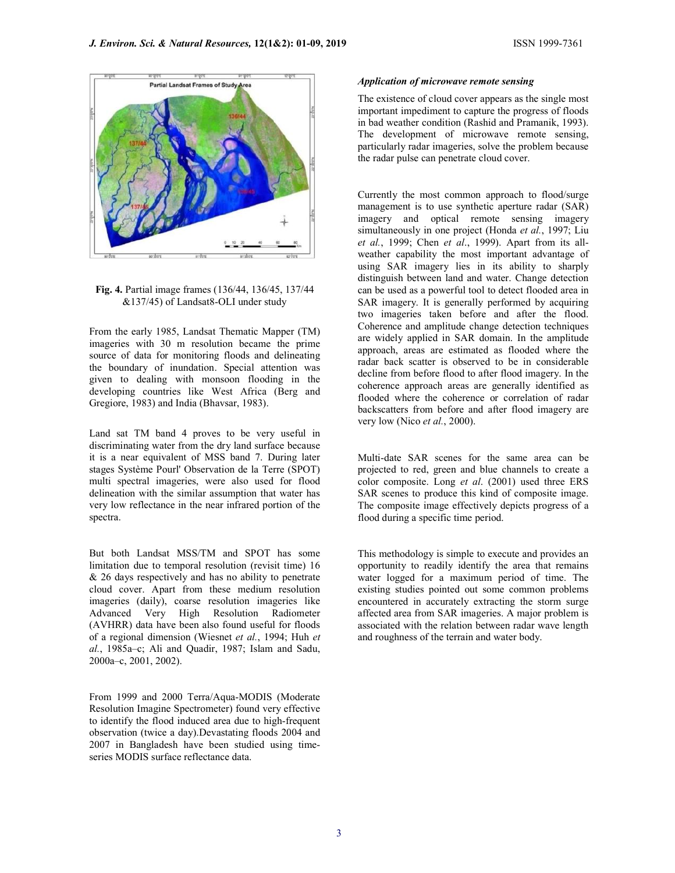

Fig. 4. Partial image frames (136/44, 136/45, 137/44 &137/45) of Landsat8-OLI under study

From the early 1985, Landsat Thematic Mapper (TM) imageries with 30 m resolution became the prime source of data for monitoring floods and delineating the boundary of inundation. Special attention was given to dealing with monsoon flooding in the developing countries like West Africa (Berg and Gregiore, 1983) and India (Bhavsar, 1983).

Land sat TM band 4 proves to be very useful in discriminating water from the dry land surface because it is a near equivalent of MSS band 7. During later stages Système Pourl' Observation de la Terre (SPOT) multi spectral imageries, were also used for flood delineation with the similar assumption that water has very low reflectance in the near infrared portion of the spectra.

But both Landsat MSS/TM and SPOT has some limitation due to temporal resolution (revisit time) 16 & 26 days respectively and has no ability to penetrate cloud cover. Apart from these medium resolution imageries (daily), coarse resolution imageries like Advanced Very High Resolution Radiometer (AVHRR) data have been also found useful for floods of a regional dimension (Wiesnet et al., 1994; Huh et al., 1985a–c; Ali and Quadir, 1987; Islam and Sadu, 2000a–c, 2001, 2002).

From 1999 and 2000 Terra/Aqua-MODIS (Moderate Resolution Imagine Spectrometer) found very effective to identify the flood induced area due to high-frequent observation (twice a day).Devastating floods 2004 and 2007 in Bangladesh have been studied using timeseries MODIS surface reflectance data.

#### Application of microwave remote sensing

The existence of cloud cover appears as the single most important impediment to capture the progress of floods in bad weather condition (Rashid and Pramanik, 1993). The development of microwave remote sensing, particularly radar imageries, solve the problem because the radar pulse can penetrate cloud cover.

Currently the most common approach to flood/surge management is to use synthetic aperture radar (SAR) imagery and optical remote sensing imagery simultaneously in one project (Honda et al., 1997; Liu et al., 1999; Chen et al., 1999). Apart from its allweather capability the most important advantage of using SAR imagery lies in its ability to sharply distinguish between land and water. Change detection can be used as a powerful tool to detect flooded area in SAR imagery. It is generally performed by acquiring two imageries taken before and after the flood. Coherence and amplitude change detection techniques are widely applied in SAR domain. In the amplitude approach, areas are estimated as flooded where the radar back scatter is observed to be in considerable decline from before flood to after flood imagery. In the coherence approach areas are generally identified as flooded where the coherence or correlation of radar backscatters from before and after flood imagery are very low (Nico *et al.*, 2000).

Multi-date SAR scenes for the same area can be projected to red, green and blue channels to create a color composite. Long et al. (2001) used three ERS SAR scenes to produce this kind of composite image. The composite image effectively depicts progress of a flood during a specific time period.

This methodology is simple to execute and provides an opportunity to readily identify the area that remains water logged for a maximum period of time. The existing studies pointed out some common problems encountered in accurately extracting the storm surge affected area from SAR imageries. A major problem is associated with the relation between radar wave length and roughness of the terrain and water body.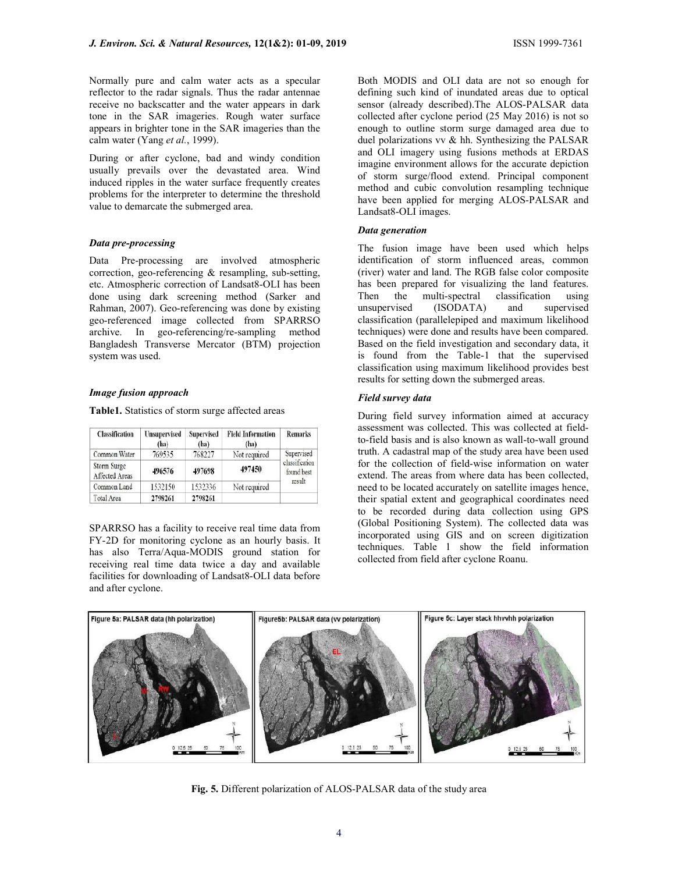Normally pure and calm water acts as a specular reflector to the radar signals. Thus the radar antennae receive no backscatter and the water appears in dark tone in the SAR imageries. Rough water surface appears in brighter tone in the SAR imageries than the calm water (Yang et al., 1999).

During or after cyclone, bad and windy condition usually prevails over the devastated area. Wind induced ripples in the water surface frequently creates problems for the interpreter to determine the threshold value to demarcate the submerged area.

# Data pre-processing

Data Pre-processing are involved atmospheric correction, geo-referencing & resampling, sub-setting, etc. Atmospheric correction of Landsat8-OLI has been done using dark screening method (Sarker and Rahman, 2007). Geo-referencing was done by existing geo-referenced image collected from SPARRSO archive. In geo-referencing/re-sampling method Bangladesh Transverse Mercator (BTM) projection system was used.

## Image fusion approach

Table1. Statistics of storm surge affected areas

| <b>Classification</b>         | <b>Unsupervised</b><br>(ha) | Supervised<br>(ha) | <b>Field Information</b><br>(ha) | <b>Remarks</b>                                       |
|-------------------------------|-----------------------------|--------------------|----------------------------------|------------------------------------------------------|
| Common Water                  | 769535                      | 768227             | Not required                     | Supervised<br>classification<br>found best<br>result |
| Storm Surge<br>Affected Areas | 496576                      | 497698             | 497450                           |                                                      |
| Common Land                   | 1532150                     | 1532336            | Not required                     |                                                      |
| Total Area                    | 2798261                     | 2798261            |                                  |                                                      |

SPARRSO has a facility to receive real time data from FY-2D for monitoring cyclone as an hourly basis. It has also Terra/Aqua-MODIS ground station for receiving real time data twice a day and available facilities for downloading of Landsat8-OLI data before and after cyclone.

Both MODIS and OLI data are not so enough for defining such kind of inundated areas due to optical sensor (already described).The ALOS-PALSAR data collected after cyclone period (25 May 2016) is not so enough to outline storm surge damaged area due to duel polarizations vv & hh. Synthesizing the PALSAR and OLI imagery using fusions methods at ERDAS imagine environment allows for the accurate depiction of storm surge/flood extend. Principal component method and cubic convolution resampling technique have been applied for merging ALOS-PALSAR and Landsat8-OLI images.

#### Data generation

The fusion image have been used which helps identification of storm influenced areas, common (river) water and land. The RGB false color composite has been prepared for visualizing the land features. Then the multi-spectral classification using unsupervised (ISODATA) and supervised classification (parallelepiped and maximum likelihood techniques) were done and results have been compared. Based on the field investigation and secondary data, it is found from the Table-1 that the supervised classification using maximum likelihood provides best results for setting down the submerged areas.

# Field survey data

During field survey information aimed at accuracy assessment was collected. This was collected at fieldto-field basis and is also known as wall-to-wall ground truth. A cadastral map of the study area have been used for the collection of field-wise information on water extend. The areas from where data has been collected, need to be located accurately on satellite images hence, their spatial extent and geographical coordinates need to be recorded during data collection using GPS (Global Positioning System). The collected data was incorporated using GIS and on screen digitization techniques. Table 1 show the field information collected from field after cyclone Roanu.



Fig. 5. Different polarization of ALOS-PALSAR data of the study area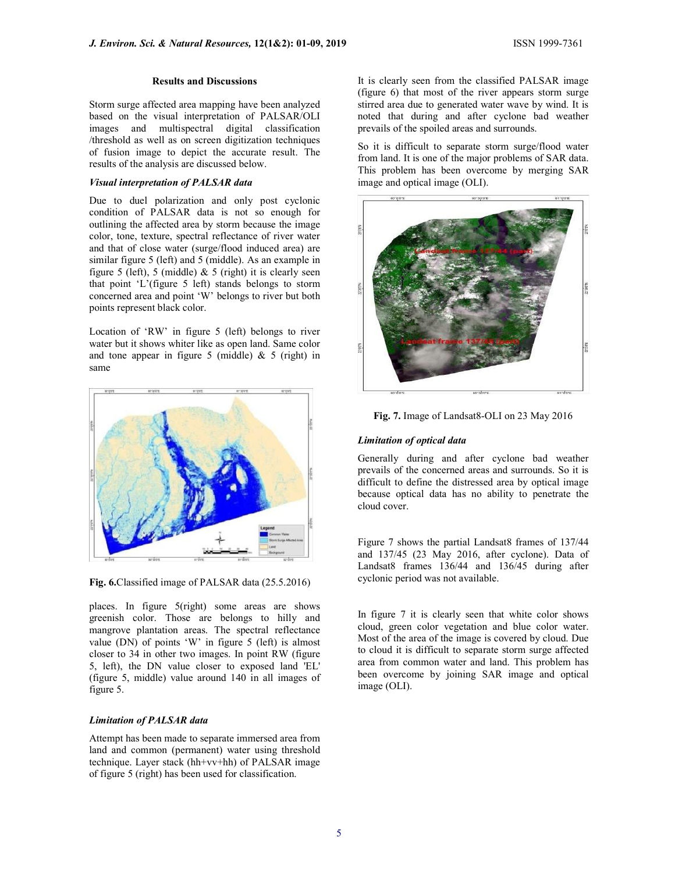#### Results and Discussions

Storm surge affected area mapping have been analyzed based on the visual interpretation of PALSAR/OLI images and multispectral digital classification /threshold as well as on screen digitization techniques of fusion image to depict the accurate result. The results of the analysis are discussed below.

# Visual interpretation of PALSAR data

Due to duel polarization and only post cyclonic condition of PALSAR data is not so enough for outlining the affected area by storm because the image color, tone, texture, spectral reflectance of river water and that of close water (surge/flood induced area) are similar figure 5 (left) and 5 (middle). As an example in figure 5 (left), 5 (middle) & 5 (right) it is clearly seen that point 'L'(figure 5 left) stands belongs to storm concerned area and point 'W' belongs to river but both points represent black color.

Location of 'RW' in figure 5 (left) belongs to river water but it shows whiter like as open land. Same color and tone appear in figure 5 (middle)  $& 5$  (right) in same



Fig. 6.Classified image of PALSAR data (25.5.2016)

places. In figure 5(right) some areas are shows greenish color. Those are belongs to hilly and mangrove plantation areas. The spectral reflectance value (DN) of points 'W' in figure 5 (left) is almost closer to 34 in other two images. In point RW (figure 5, left), the DN value closer to exposed land 'EL' (figure 5, middle) value around 140 in all images of figure 5.

# Limitation of PALSAR data

Attempt has been made to separate immersed area from land and common (permanent) water using threshold technique. Layer stack (hh+vv+hh) of PALSAR image of figure 5 (right) has been used for classification.

It is clearly seen from the classified PALSAR image (figure 6) that most of the river appears storm surge stirred area due to generated water wave by wind. It is noted that during and after cyclone bad weather prevails of the spoiled areas and surrounds.

So it is difficult to separate storm surge/flood water from land. It is one of the major problems of SAR data. This problem has been overcome by merging SAR image and optical image (OLI).





## Limitation of optical data

Generally during and after cyclone bad weather prevails of the concerned areas and surrounds. So it is difficult to define the distressed area by optical image because optical data has no ability to penetrate the cloud cover.

Figure 7 shows the partial Landsat8 frames of 137/44 and 137/45 (23 May 2016, after cyclone). Data of Landsat8 frames 136/44 and 136/45 during after cyclonic period was not available.

In figure 7 it is clearly seen that white color shows cloud, green color vegetation and blue color water. Most of the area of the image is covered by cloud. Due to cloud it is difficult to separate storm surge affected area from common water and land. This problem has been overcome by joining SAR image and optical image (OLI).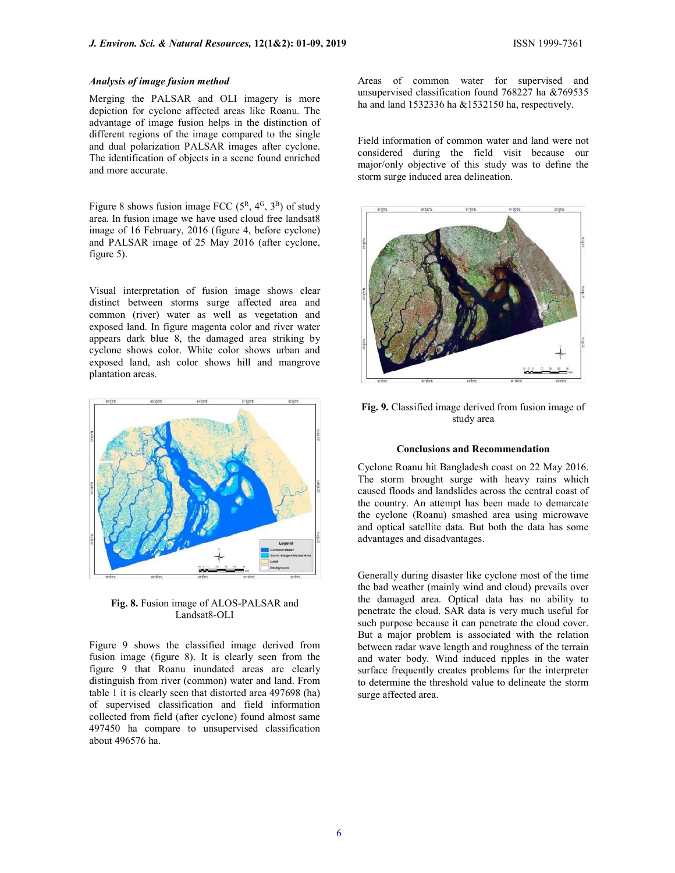# Analysis of image fusion method

Merging the PALSAR and OLI imagery is more depiction for cyclone affected areas like Roanu. The advantage of image fusion helps in the distinction of different regions of the image compared to the single and dual polarization PALSAR images after cyclone. The identification of objects in a scene found enriched and more accurate.

Figure 8 shows fusion image FCC  $(5^R, 4^G, 3^B)$  of study area. In fusion image we have used cloud free landsat8 image of 16 February, 2016 (figure 4, before cyclone) and PALSAR image of 25 May 2016 (after cyclone, figure 5).

Visual interpretation of fusion image shows clear distinct between storms surge affected area and common (river) water as well as vegetation and exposed land. In figure magenta color and river water appears dark blue 8, the damaged area striking by cyclone shows color. White color shows urban and exposed land, ash color shows hill and mangrove plantation areas.



Fig. 8. Fusion image of ALOS-PALSAR and Landsat8-OLI

Figure 9 shows the classified image derived from fusion image (figure 8). It is clearly seen from the figure 9 that Roanu inundated areas are clearly distinguish from river (common) water and land. From table 1 it is clearly seen that distorted area 497698 (ha) of supervised classification and field information collected from field (after cyclone) found almost same 497450 ha compare to unsupervised classification about 496576 ha.

Areas of common water for supervised and unsupervised classification found 768227 ha &769535 ha and land 1532336 ha &1532150 ha, respectively.

Field information of common water and land were not considered during the field visit because our major/only objective of this study was to define the storm surge induced area delineation.



Fig. 9. Classified image derived from fusion image of study area

# Conclusions and Recommendation

Cyclone Roanu hit Bangladesh coast on 22 May 2016. The storm brought surge with heavy rains which caused floods and landslides across the central coast of the country. An attempt has been made to demarcate the cyclone (Roanu) smashed area using microwave and optical satellite data. But both the data has some advantages and disadvantages.

Generally during disaster like cyclone most of the time the bad weather (mainly wind and cloud) prevails over the damaged area. Optical data has no ability to penetrate the cloud. SAR data is very much useful for such purpose because it can penetrate the cloud cover. But a major problem is associated with the relation between radar wave length and roughness of the terrain and water body. Wind induced ripples in the water surface frequently creates problems for the interpreter to determine the threshold value to delineate the storm surge affected area.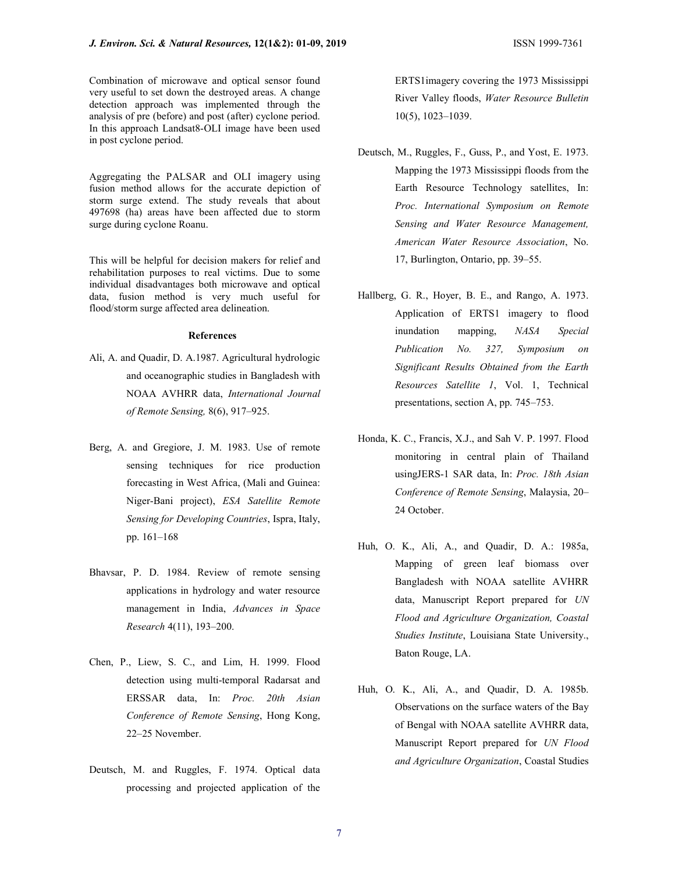Aggregating the PALSAR and OLI imagery using fusion method allows for the accurate depiction of storm surge extend. The study reveals that about 497698 (ha) areas have been affected due to storm surge during cyclone Roanu.

This will be helpful for decision makers for relief and rehabilitation purposes to real victims. Due to some individual disadvantages both microwave and optical data, fusion method is very much useful for flood/storm surge affected area delineation.

#### **References**

- Ali, A. and Quadir, D. A.1987. Agricultural hydrologic and oceanographic studies in Bangladesh with NOAA AVHRR data, International Journal of Remote Sensing, 8(6), 917–925.
- Berg, A. and Gregiore, J. M. 1983. Use of remote sensing techniques for rice production forecasting in West Africa, (Mali and Guinea: Niger-Bani project), ESA Satellite Remote Sensing for Developing Countries, Ispra, Italy, pp. 161–168
- Bhavsar, P. D. 1984. Review of remote sensing applications in hydrology and water resource management in India, Advances in Space Research 4(11), 193–200.
- Chen, P., Liew, S. C., and Lim, H. 1999. Flood detection using multi-temporal Radarsat and ERSSAR data, In: Proc. 20th Asian Conference of Remote Sensing, Hong Kong, 22–25 November.
- Deutsch, M. and Ruggles, F. 1974. Optical data processing and projected application of the

ERTS1imagery covering the 1973 Mississippi River Valley floods, Water Resource Bulletin 10(5), 1023–1039.

- Deutsch, M., Ruggles, F., Guss, P., and Yost, E. 1973. Mapping the 1973 Mississippi floods from the Earth Resource Technology satellites, In: Proc. International Symposium on Remote Sensing and Water Resource Management, American Water Resource Association, No. 17, Burlington, Ontario, pp. 39–55.
- Hallberg, G. R., Hoyer, B. E., and Rango, A. 1973. Application of ERTS1 imagery to flood inundation mapping, NASA Special Publication No. 327, Symposium on Significant Results Obtained from the Earth Resources Satellite 1, Vol. 1, Technical presentations, section A, pp. 745–753.
- Honda, K. C., Francis, X.J., and Sah V. P. 1997. Flood monitoring in central plain of Thailand usingJERS-1 SAR data, In: Proc. 18th Asian Conference of Remote Sensing, Malaysia, 20– 24 October.
- Huh, O. K., Ali, A., and Quadir, D. A.: 1985a, Mapping of green leaf biomass over Bangladesh with NOAA satellite AVHRR data, Manuscript Report prepared for UN Flood and Agriculture Organization, Coastal Studies Institute, Louisiana State University., Baton Rouge, LA.
- Huh, O. K., Ali, A., and Quadir, D. A. 1985b. Observations on the surface waters of the Bay of Bengal with NOAA satellite AVHRR data, Manuscript Report prepared for UN Flood and Agriculture Organization, Coastal Studies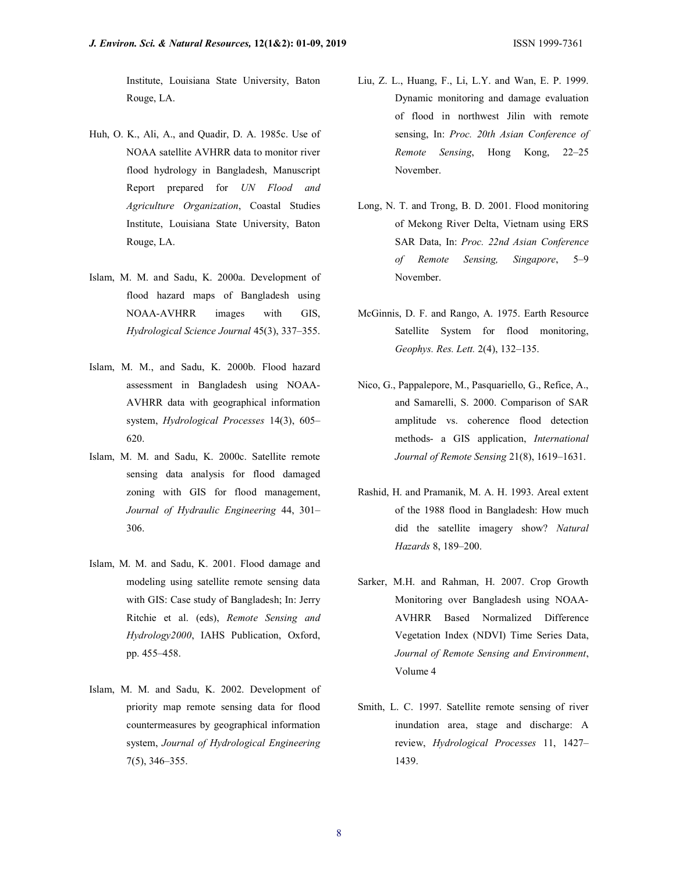Institute, Louisiana State University, Baton Rouge, LA.

- Huh, O. K., Ali, A., and Quadir, D. A. 1985c. Use of NOAA satellite AVHRR data to monitor river flood hydrology in Bangladesh, Manuscript Report prepared for UN Flood and Agriculture Organization, Coastal Studies Institute, Louisiana State University, Baton Rouge, LA.
- Islam, M. M. and Sadu, K. 2000a. Development of flood hazard maps of Bangladesh using NOAA-AVHRR images with GIS, Hydrological Science Journal 45(3), 337–355.
- Islam, M. M., and Sadu, K. 2000b. Flood hazard assessment in Bangladesh using NOAA-AVHRR data with geographical information system, Hydrological Processes 14(3), 605– 620.
- Islam, M. M. and Sadu, K. 2000c. Satellite remote sensing data analysis for flood damaged zoning with GIS for flood management, Journal of Hydraulic Engineering 44, 301– 306.
- Islam, M. M. and Sadu, K. 2001. Flood damage and modeling using satellite remote sensing data with GIS: Case study of Bangladesh; In: Jerry Ritchie et al. (eds), Remote Sensing and Hydrology2000, IAHS Publication, Oxford, pp. 455–458.
- Islam, M. M. and Sadu, K. 2002. Development of priority map remote sensing data for flood countermeasures by geographical information system, Journal of Hydrological Engineering 7(5), 346–355.
- Liu, Z. L., Huang, F., Li, L.Y. and Wan, E. P. 1999. Dynamic monitoring and damage evaluation of flood in northwest Jilin with remote sensing, In: Proc. 20th Asian Conference of Remote Sensing, Hong Kong, 22–25 November.
- Long, N. T. and Trong, B. D. 2001. Flood monitoring of Mekong River Delta, Vietnam using ERS SAR Data, In: Proc. 22nd Asian Conference of Remote Sensing, Singapore, 5–9 November.
- McGinnis, D. F. and Rango, A. 1975. Earth Resource Satellite System for flood monitoring, Geophys. Res. Lett. 2(4), 132–135.
- Nico, G., Pappalepore, M., Pasquariello, G., Refice, A., and Samarelli, S. 2000. Comparison of SAR amplitude vs. coherence flood detection methods- a GIS application, International Journal of Remote Sensing 21(8), 1619–1631.
- Rashid, H. and Pramanik, M. A. H. 1993. Areal extent of the 1988 flood in Bangladesh: How much did the satellite imagery show? Natural Hazards 8, 189–200.
- Sarker, M.H. and Rahman, H. 2007. Crop Growth Monitoring over Bangladesh using NOAA-AVHRR Based Normalized Difference Vegetation Index (NDVI) Time Series Data, Journal of Remote Sensing and Environment, Volume 4
- Smith, L. C. 1997. Satellite remote sensing of river inundation area, stage and discharge: A review, Hydrological Processes 11, 1427– 1439.